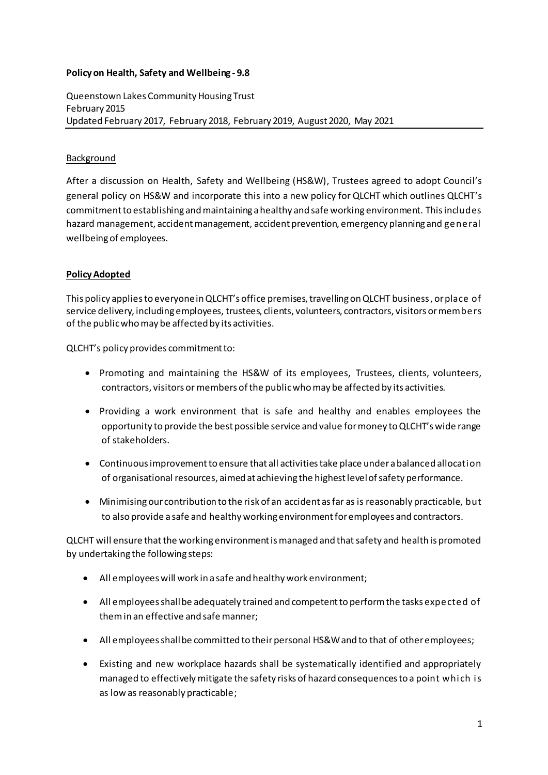## **Policy on Health, Safety and Wellbeing - 9.8**

Queenstown Lakes Community Housing Trust February 2015 Updated February 2017, February 2018, February 2019, August 2020, May 2021

## Background

After a discussion on Health, Safety and Wellbeing (HS&W), Trustees agreed to adopt Council's general policy on HS&W and incorporate this into a new policy for QLCHT which outlines QLCHT's commitment to establishing and maintaining a healthy and safe working environment. This includes hazard management, accident management, accident prevention, emergency planning and general wellbeing of employees.

## **Policy Adopted**

This policy applies to everyone in QLCHT's office premises, travelling on QLCHT business, or place of service delivery, including employees, trustees, clients, volunteers, contractors, visitors or members of the public who may be affected by its activities.

QLCHT's policy provides commitment to:

- Promoting and maintaining the HS&W of its employees, Trustees, clients, volunteers, contractors, visitors or members of the public who may be affected by its activities.
- Providing a work environment that is safe and healthy and enables employees the opportunity to provide the best possible service and value for money to QLCHT's wide range of stakeholders.
- Continuous improvement to ensure that all activities take place under a balanced allocation of organisational resources, aimed at achieving the highest level of safety performance.
- Minimising our contribution to the risk of an accident as far as is reasonably practicable, but to also provide a safe and healthy working environment for employees and contractors.

QLCHT will ensure that the working environment is managed and thatsafety and health is promoted by undertaking the following steps:

- All employees will work in a safe and healthy work environment;
- All employees shall be adequately trained and competent to perform the tasks expected of them in an effective and safe manner;
- All employees shall be committed to their personal HS&Wand to that of other employees;
- Existing and new workplace hazards shall be systematically identified and appropriately managed to effectively mitigate the safety risks of hazard consequences to a point which is as low as reasonably practicable;